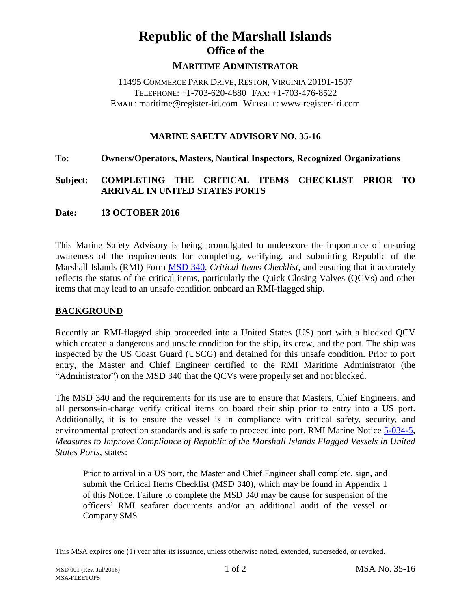# **Republic of the Marshall Islands Office of the**

#### **MARITIME ADMINISTRATOR**

11495 COMMERCE PARK DRIVE, RESTON, VIRGINIA 20191-1507 TELEPHONE: +1-703-620-4880 FAX: +1-703-476-8522 EMAIL: maritime@register-iri.com WEBSITE: www.register-iri.com

#### **MARINE SAFETY ADVISORY NO. 35-16**

#### **To: Owners/Operators, Masters, Nautical Inspectors, Recognized Organizations**

## **Subject: COMPLETING THE CRITICAL ITEMS CHECKLIST PRIOR TO ARRIVAL IN UNITED STATES PORTS**

#### **Date: 13 OCTOBER 2016**

This Marine Safety Advisory is being promulgated to underscore the importance of ensuring awareness of the requirements for completing, verifying, and submitting Republic of the Marshall Islands (RMI) Form [MSD](http://www.register-iri.com/forms/upload/MSD340.doc) 340, *Critical Items Checklist*, and ensuring that it accurately reflects the status of the critical items, particularly the Quick Closing Valves (QCVs) and other items that may lead to an unsafe condition onboard an RMI-flagged ship.

## **BACKGROUND**

Recently an RMI-flagged ship proceeded into a United States (US) port with a blocked QCV which created a dangerous and unsafe condition for the ship, its crew, and the port. The ship was inspected by the US Coast Guard (USCG) and detained for this unsafe condition. Prior to port entry, the Master and Chief Engineer certified to the RMI Maritime Administrator (the "Administrator") on the MSD 340 that the QCVs were properly set and not blocked.

The MSD 340 and the requirements for its use are to ensure that Masters, Chief Engineers, and all persons-in-charge verify critical items on board their ship prior to entry into a US port. Additionally, it is to ensure the vessel is in compliance with critical safety, security, and environmental protection standards and is safe to proceed into port. RMI Marine Notice [5-034-5,](http://www.register-iri.com/forms/upload/MN-5-034-5.pdf) *Measures to Improve Compliance of Republic of the Marshall Islands Flagged Vessels in United States Ports*, states:

Prior to arrival in a US port, the Master and Chief Engineer shall complete, sign, and submit the Critical Items Checklist (MSD 340), which may be found in Appendix 1 of this Notice. Failure to complete the MSD 340 may be cause for suspension of the officers' RMI seafarer documents and/or an additional audit of the vessel or Company SMS.

This MSA expires one (1) year after its issuance, unless otherwise noted, extended, superseded, or revoked.